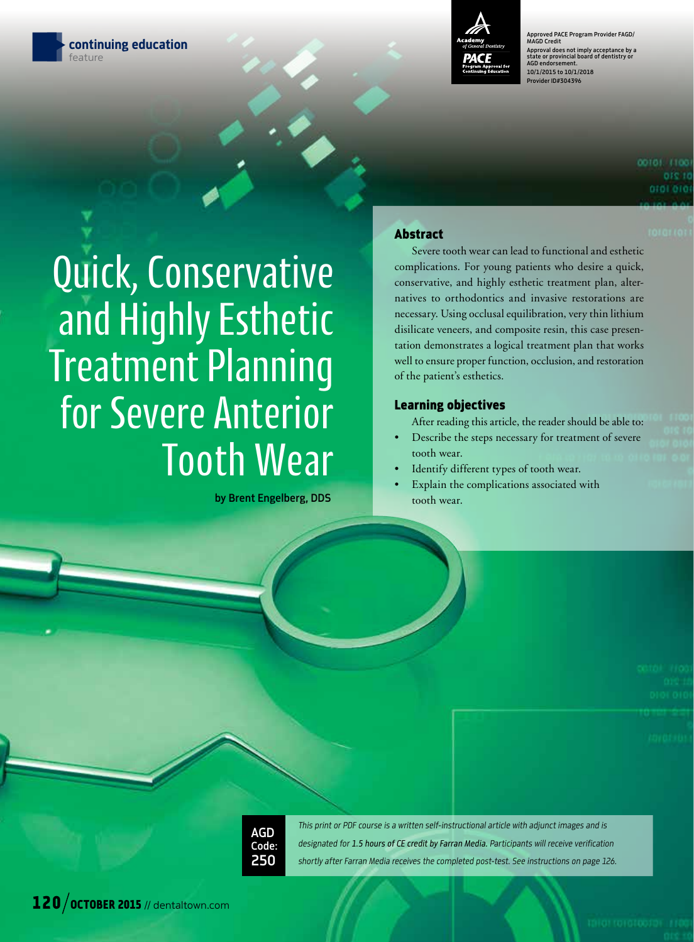



Approved PACE Program Provider FAGD/ MAGD Credit Approval does not imply acceptance by a state or provincial board of dentistry or AGD endorsement. 10/1/2015 to 10/1/2018 prider ID#304396

# Quick, Conservative and Highly Esthetic Treatment Planning for Severe Anterior Tooth Wear

by Brent Engelberg, DDS

#### Abstract

Severe tooth wear can lead to functional and esthetic complications. For young patients who desire a quick, conservative, and highly esthetic treatment plan, alternatives to orthodontics and invasive restorations are necessary. Using occlusal equilibration, very thin lithium disilicate veneers, and composite resin, this case presentation demonstrates a logical treatment plan that works well to ensure proper function, occlusion, and restoration of the patient's esthetics.

#### Learning objectives

- After reading this article, the reader should be able to:
- Describe the steps necessary for treatment of severe tooth wear.
- Identify different types of tooth wear.
- Explain the complications associated with tooth wear.



*This print or PDF course is a written self-instructional article with adjunct images and is designated for 1.5 hours of CE credit by Farran Media. Participants will receive verification shortly after Farran Media receives the completed post-test. See instructions on page 126.*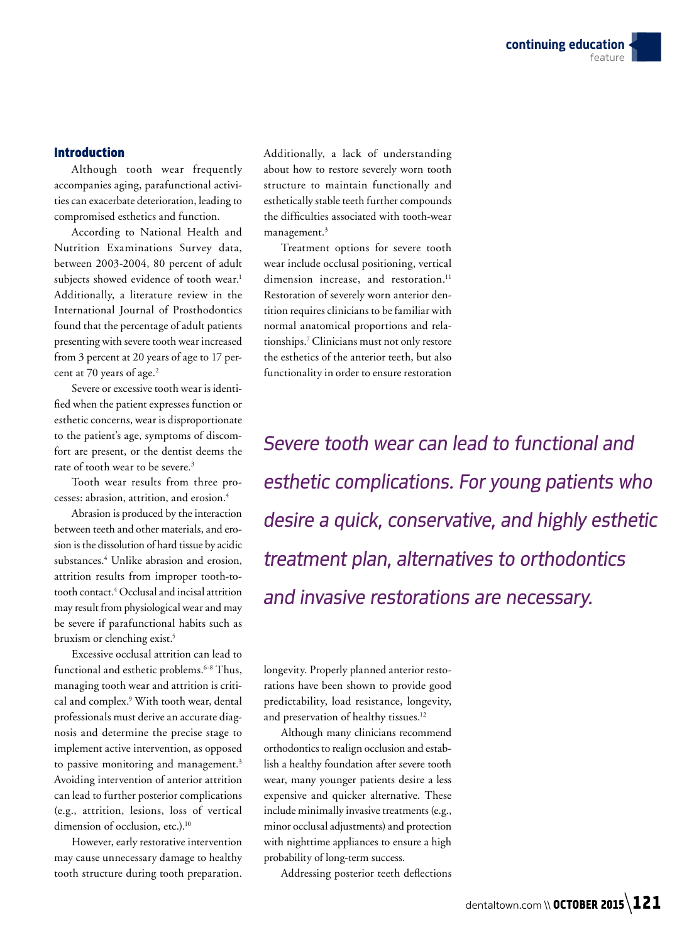#### Introduction

Although tooth wear frequently accompanies aging, parafunctional activities can exacerbate deterioration, leading to compromised esthetics and function.

According to National Health and Nutrition Examinations Survey data, between 2003-2004, 80 percent of adult subjects showed evidence of tooth wear.<sup>1</sup> Additionally, a literature review in the International Journal of Prosthodontics found that the percentage of adult patients presenting with severe tooth wear increased from 3 percent at 20 years of age to 17 percent at 70 years of age.<sup>2</sup>

Severe or excessive tooth wear is identified when the patient expresses function or esthetic concerns, wear is disproportionate to the patient's age, symptoms of discomfort are present, or the dentist deems the rate of tooth wear to be severe.<sup>3</sup>

Tooth wear results from three processes: abrasion, attrition, and erosion.4

Abrasion is produced by the interaction between teeth and other materials, and erosion is the dissolution of hard tissue by acidic substances.4 Unlike abrasion and erosion, attrition results from improper tooth-totooth contact.4 Occlusal and incisal attrition may result from physiological wear and may be severe if parafunctional habits such as bruxism or clenching exist.5

Excessive occlusal attrition can lead to functional and esthetic problems.<sup>6-8</sup> Thus, managing tooth wear and attrition is critical and complex.<sup>9</sup> With tooth wear, dental professionals must derive an accurate diagnosis and determine the precise stage to implement active intervention, as opposed to passive monitoring and management.<sup>3</sup> Avoiding intervention of anterior attrition can lead to further posterior complications (e.g., attrition, lesions, loss of vertical dimension of occlusion, etc.).<sup>10</sup>

However, early restorative intervention may cause unnecessary damage to healthy tooth structure during tooth preparation.

Additionally, a lack of understanding about how to restore severely worn tooth structure to maintain functionally and esthetically stable teeth further compounds the difficulties associated with tooth-wear management. $3$ 

Treatment options for severe tooth wear include occlusal positioning, vertical dimension increase, and restoration.<sup>11</sup> Restoration of severely worn anterior dentition requires clinicians to be familiar with normal anatomical proportions and relationships.7 Clinicians must not only restore the esthetics of the anterior teeth, but also functionality in order to ensure restoration

*Severe tooth wear can lead to functional and esthetic complications. For young patients who desire a quick, conservative, and highly esthetic treatment plan, alternatives to orthodontics and invasive restorations are necessary.*

longevity. Properly planned anterior restorations have been shown to provide good predictability, load resistance, longevity, and preservation of healthy tissues.<sup>12</sup>

Although many clinicians recommend orthodontics to realign occlusion and establish a healthy foundation after severe tooth wear, many younger patients desire a less expensive and quicker alternative. These include minimally invasive treatments (e.g., minor occlusal adjustments) and protection with nighttime appliances to ensure a high probability of long-term success.

Addressing posterior teeth deflections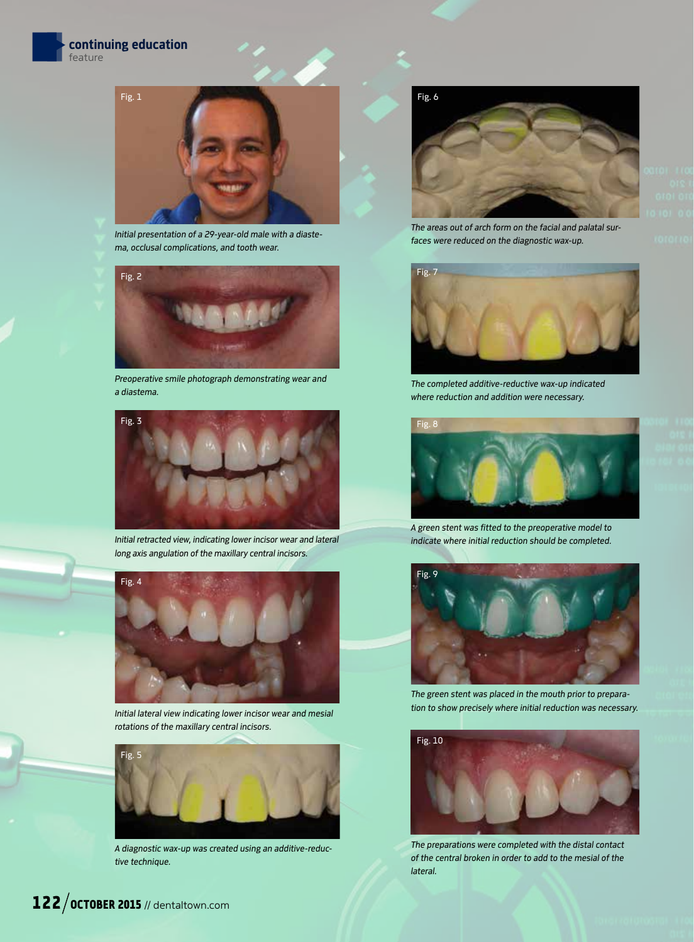





*Initial presentation of a 29-year-old male with a diastema, occlusal complications, and tooth wear.* 



*Preoperative smile photograph demonstrating wear and a diastema.* 



*Initial retracted view, indicating lower incisor wear and lateral long axis angulation of the maxillary central incisors.* 



*Initial lateral view indicating lower incisor wear and mesial rotations of the maxillary central incisors.* 



*A diagnostic wax-up was created using an additive-reductive technique.*



*The areas out of arch form on the facial and palatal surfaces were reduced on the diagnostic wax-up.* 





*The completed additive-reductive wax-up indicated where reduction and addition were necessary.* 



*A green stent was fitted to the preoperative model to indicate where initial reduction should be completed.* 



*The green stent was placed in the mouth prior to preparation to show precisely where initial reduction was necessary.* 



*The preparations were completed with the distal contact of the central broken in order to add to the mesial of the lateral.*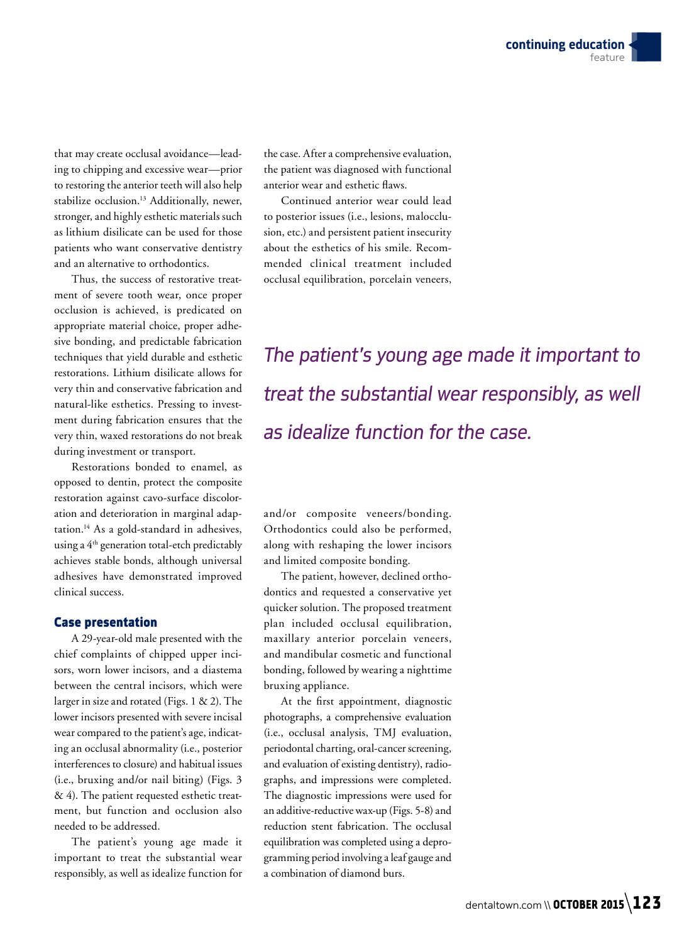that may create occlusal avoidance—leading to chipping and excessive wear—prior to restoring the anterior teeth will also help stabilize occlusion.13 Additionally, newer, stronger, and highly esthetic materials such as lithium disilicate can be used for those patients who want conservative dentistry and an alternative to orthodontics.

Thus, the success of restorative treatment of severe tooth wear, once proper occlusion is achieved, is predicated on appropriate material choice, proper adhesive bonding, and predictable fabrication techniques that yield durable and esthetic restorations. Lithium disilicate allows for very thin and conservative fabrication and natural-like esthetics. Pressing to investment during fabrication ensures that the very thin, waxed restorations do not break during investment or transport.

Restorations bonded to enamel, as opposed to dentin, protect the composite restoration against cavo-surface discoloration and deterioration in marginal adaptation.14 As a gold-standard in adhesives, using a 4th generation total-etch predictably achieves stable bonds, although universal adhesives have demonstrated improved clinical success.

#### Case presentation

A 29-year-old male presented with the chief complaints of chipped upper incisors, worn lower incisors, and a diastema between the central incisors, which were larger in size and rotated (Figs. 1 & 2). The lower incisors presented with severe incisal wear compared to the patient's age, indicating an occlusal abnormality (i.e., posterior interferences to closure) and habitual issues (i.e., bruxing and/or nail biting) (Figs. 3 & 4). The patient requested esthetic treatment, but function and occlusion also needed to be addressed.

The patient's young age made it important to treat the substantial wear responsibly, as well as idealize function for

the case. After a comprehensive evaluation, the patient was diagnosed with functional anterior wear and esthetic flaws.

Continued anterior wear could lead to posterior issues (i.e., lesions, malocclusion, etc.) and persistent patient insecurity about the esthetics of his smile. Recommended clinical treatment included occlusal equilibration, porcelain veneers,

*The patient's young age made it important to treat the substantial wear responsibly, as well as idealize function for the case.*

and/or composite veneers/bonding. Orthodontics could also be performed, along with reshaping the lower incisors and limited composite bonding.

The patient, however, declined orthodontics and requested a conservative yet quicker solution. The proposed treatment plan included occlusal equilibration, maxillary anterior porcelain veneers, and mandibular cosmetic and functional bonding, followed by wearing a nighttime bruxing appliance.

At the first appointment, diagnostic photographs, a comprehensive evaluation (i.e., occlusal analysis, TMJ evaluation, periodontal charting, oral-cancer screening, and evaluation of existing dentistry), radiographs, and impressions were completed. The diagnostic impressions were used for an additive-reductive wax-up (Figs. 5-8) and reduction stent fabrication. The occlusal equilibration was completed using a deprogramming period involving a leaf gauge and a combination of diamond burs.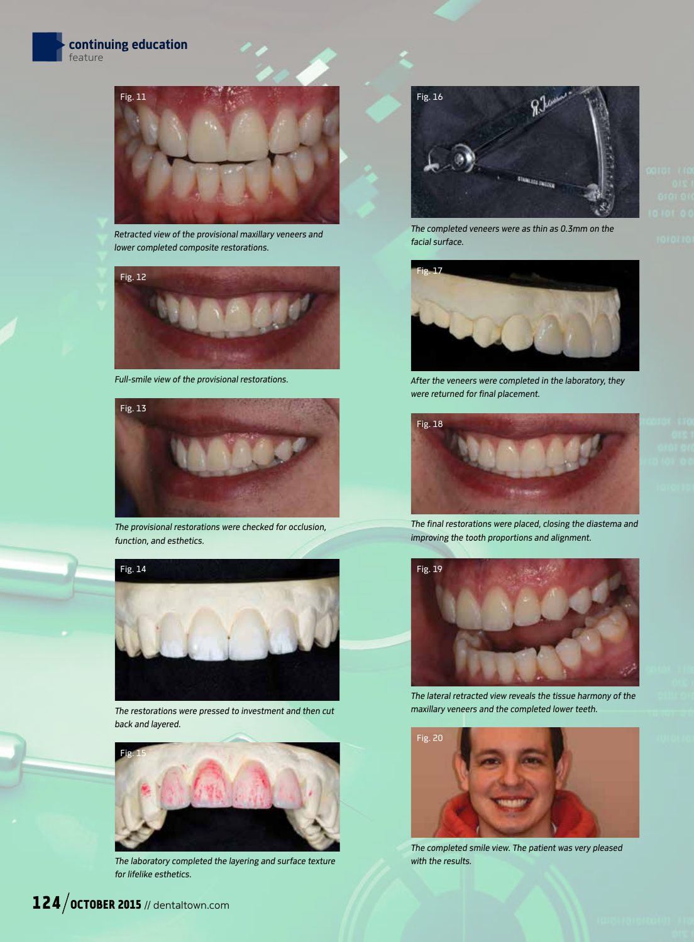

*Retracted view of the provisional maxillary veneers and lower completed composite restorations.* 



*Full-smile view of the provisional restorations.* 



*The provisional restorations were checked for occlusion, function, and esthetics.* 



*The restorations were pressed to investment and then cut back and layered.* 



*The laboratory completed the layering and surface texture for lifelike esthetics.* 



*The completed veneers were as thin as 0.3mm on the facial surface.* 





*After the veneers were completed in the laboratory, they were returned for final placement.* 



*The final restorations were placed, closing the diastema and improving the tooth proportions and alignment.*



*The lateral retracted view reveals the tissue harmony of the maxillary veneers and the completed lower teeth.* 



*The completed smile view. The patient was very pleased with the results.*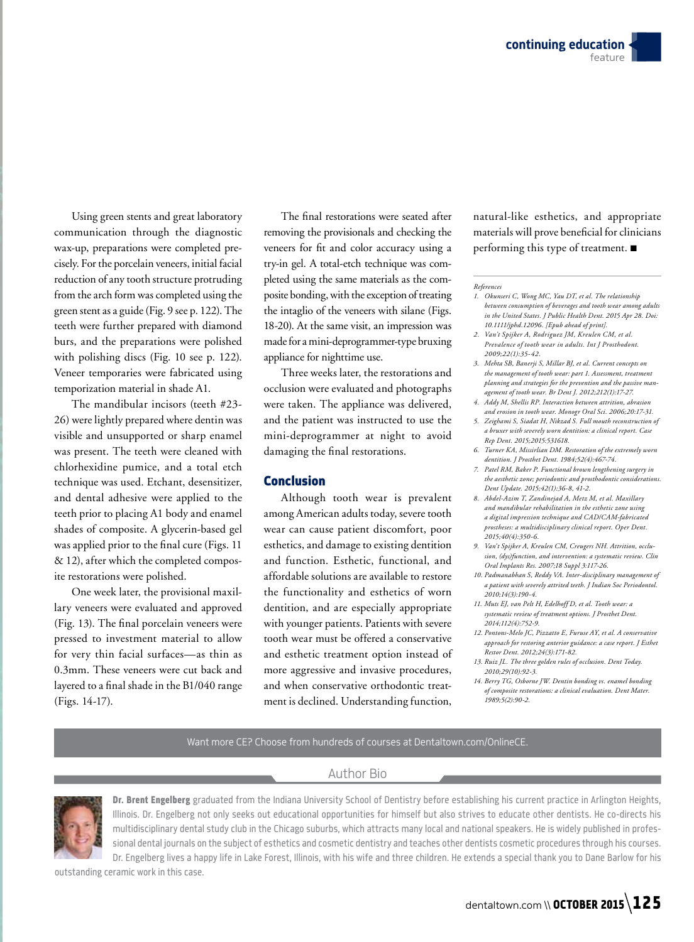Using green stents and great laboratory communication through the diagnostic wax-up, preparations were completed precisely. For the porcelain veneers, initial facial reduction of any tooth structure protruding from the arch form was completed using the green stent as a guide (Fig. 9 see p. 122). The teeth were further prepared with diamond burs, and the preparations were polished with polishing discs (Fig. 10 see p. 122). Veneer temporaries were fabricated using temporization material in shade A1.

The mandibular incisors (teeth #23- 26) were lightly prepared where dentin was visible and unsupported or sharp enamel was present. The teeth were cleaned with chlorhexidine pumice, and a total etch technique was used. Etchant, desensitizer, and dental adhesive were applied to the teeth prior to placing A1 body and enamel shades of composite. A glycerin-based gel was applied prior to the final cure (Figs. 11 & 12), after which the completed composite restorations were polished.

One week later, the provisional maxillary veneers were evaluated and approved (Fig. 13). The final porcelain veneers were pressed to investment material to allow for very thin facial surfaces—as thin as 0.3mm. These veneers were cut back and layered to a final shade in the B1/040 range (Figs. 14-17).

The final restorations were seated after removing the provisionals and checking the veneers for fit and color accuracy using a try-in gel. A total-etch technique was completed using the same materials as the composite bonding, with the exception of treating the intaglio of the veneers with silane (Figs. 18-20). At the same visit, an impression was made for a mini-deprogrammer-type bruxing appliance for nighttime use.

Three weeks later, the restorations and occlusion were evaluated and photographs were taken. The appliance was delivered, and the patient was instructed to use the mini-deprogrammer at night to avoid damaging the final restorations.

#### Conclusion

Although tooth wear is prevalent among American adults today, severe tooth wear can cause patient discomfort, poor esthetics, and damage to existing dentition and function. Esthetic, functional, and affordable solutions are available to restore the functionality and esthetics of worn dentition, and are especially appropriate with younger patients. Patients with severe tooth wear must be offered a conservative and esthetic treatment option instead of more aggressive and invasive procedures, and when conservative orthodontic treatment is declined. Understanding function,

natural-like esthetics, and appropriate materials will prove beneficial for clinicians performing this type of treatment. ■

*References*

- *1. Okunseri C, Wong MC, Yau DT, et al. The relationship between consumption of beverages and tooth wear among adults in the United States. J Public Health Dent. 2015 Apr 28. Doi: 10.1111/jphd.12096. [Epub ahead of print].*
- *2. Van't Spijker A, Rodriguez JM, Kreulen CM, et al. Prevalence of tooth wear in adults. Int J Prosthodont. 2009;22(1):35-42.*
- *3. Mehta SB, Banerji S, Millar BJ, et al. Current concepts on the management of tooth wear: part 1. Assessment, treatment planning and strategies for the prevention and the passive management of tooth wear. Br Dent J. 2012;212(1):17-27.*
- *4. Addy M, Shellis RP. Interaction between attrition, abrasion and erosion in tooth wear. Monogr Oral Sci. 2006;20:17-31.*
- *5. Zeighami S, Siadat H, Nikzad S. Full mouth reconstruction of a bruxer with severely worn dentition: a clinical report. Case Rep Dent. 2015;2015:531618.*
- *6. Turner KA, Missirlian DM. Restoration of the extremely worn dentition. J Prosthet Dent. 1984;52(4):467-74.*
- *7. Patel RM, Baker P. Functional brown lengthening surgery in the aesthetic zone; periodontic and prosthodontic considerations. Dent Update. 2015;42(1):36-8, 41-2.*
- *8. Abdel-Azim T, Zandinejad A, Metz M, et al. Maxillary and mandibular rehabilitation in the esthetic zone using a digital impression technique and CAD/CAM-fabricated prostheses: a multidisciplinary clinical report. Oper Dent. 2015;40(4):350-6.*
- *9. Van't Spijker A, Kreulen CM, Creugers NH. Attrition, occlusion, (dys)function, and intervention: a systematic review. Clin Oral Implants Res. 2007;18 Suppl 3:117-26.*
- *10. Padmanabhan S, Reddy VA. Inter-disciplinary management of a patient with severely attrited teeth. J Indian Soc Periodontol. 2010;14(3):190-4.*
- *11. Muts EJ, van Pelt H, Edelhoff D, et al. Tooth wear: a systematic review of treatment options. J Prosthet Dent. 2014;112(4):752-9.*
- *12. Pontons-Melo JC, Pizzatto E, Furuse AY, et al. A conservative approach for restoring anterior guidance: a case report. J Esthet Restor Dent. 2012;24(3):171-82.*
- *13. Ruiz JL. The three golden rules of occlusion. Dent Today. 2010;29(10):92-3.*
- *14. Berry TG, Osborne JW. Dentin bonding vs. enamel bonding of composite restorations: a clinical evaluation. Dent Mater. 1989;5(2):90-2.*

#### Want more CE? Choose from hundreds of courses at Dentaltown.com/OnlineCE.

#### Author Bio



Dr. Brent Engelberg graduated from the Indiana University School of Dentistry before establishing his current practice in Arlington Heights, Illinois. Dr. Engelberg not only seeks out educational opportunities for himself but also strives to educate other dentists. He co-directs his multidisciplinary dental study club in the Chicago suburbs, which attracts many local and national speakers. He is widely published in professional dental journals on the subject of esthetics and cosmetic dentistry and teaches other dentists cosmetic procedures through his courses. Dr. Engelberg lives a happy life in Lake Forest, Illinois, with his wife and three children. He extends a special thank you to Dane Barlow for his

outstanding ceramic work in this case.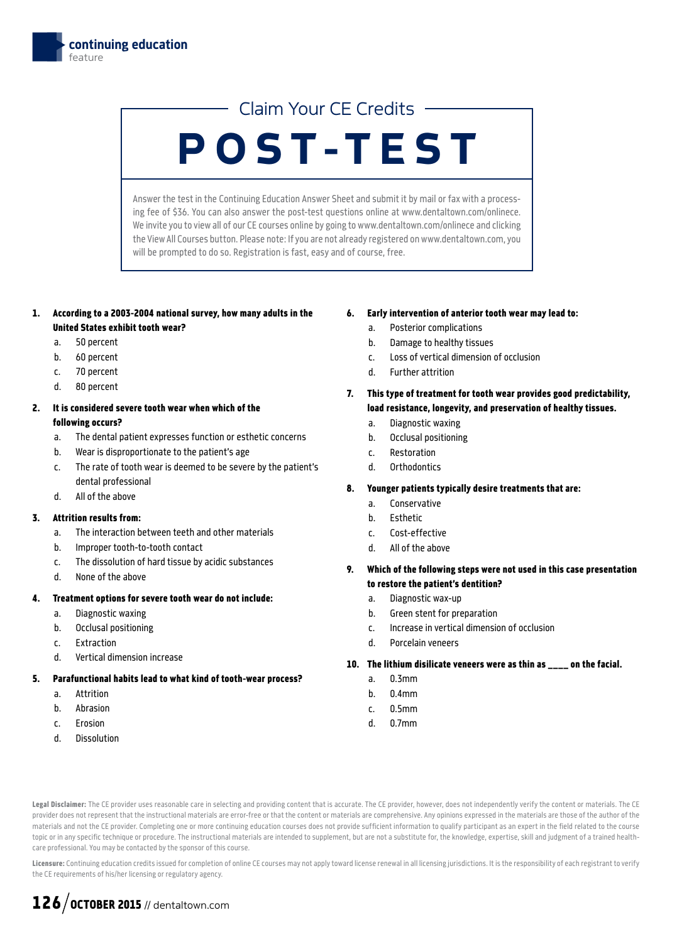## Claim Your CE Credits

## POST-TEST

Answer the test in the Continuing Education Answer Sheet and submit it by mail or fax with a processing fee of \$36. You can also answer the post-test questions online at www.dentaltown.com/onlinece. We invite you to view all of our CE courses online by going to www.dentaltown.com/onlinece and clicking the View All Courses button. Please note: If you are not already registered on www.dentaltown.com, you will be prompted to do so. Registration is fast, easy and of course, free.

- 1. According to a 2003-2004 national survey, how many adults in the United States exhibit tooth wear?
	- a. 50 percent
	- b. 60 percent
	- c. 70 percent
	- d. 80 percent

#### 2. It is considered severe tooth wear when which of the following occurs?

- a. The dental patient expresses function or esthetic concerns
- b. Wear is disproportionate to the patient's age
- c. The rate of tooth wear is deemed to be severe by the patient's dental professional
- d. All of the above

#### 3. Attrition results from:

- a. The interaction between teeth and other materials
- b. Improper tooth-to-tooth contact
- c. The dissolution of hard tissue by acidic substances
- d. None of the above

#### 4. Treatment options for severe tooth wear do not include:

- a. Diagnostic waxing
- b. Occlusal positioning
- c. Extraction
- d. Vertical dimension increase

#### 5. Parafunctional habits lead to what kind of tooth-wear process?

- a. Attrition
- b. Abrasion
- c. Erosion
- d. Dissolution

#### 6. Early intervention of anterior tooth wear may lead to:

- a. Posterior complications
- b. Damage to healthy tissues
- c. Loss of vertical dimension of occlusion
- d. Further attrition
- 7. This type of treatment for tooth wear provides good predictability, load resistance, longevity, and preservation of healthy tissues.
	- a. Diagnostic waxing
	- b. Occlusal positioning
	- c. Restoration
	- d. Orthodontics

#### 8. Younger patients typically desire treatments that are:

- a. Conservative
- b. Esthetic
- c. Cost-effective
- d. All of the above
- 9. Which of the following steps were not used in this case presentation to restore the patient's dentition?
	- a. Diagnostic wax-up
	- b. Green stent for preparation
	- c. Increase in vertical dimension of occlusion
	- d. Porcelain veneers

#### 10. The lithium disilicate veneers were as thin as \_\_\_\_ on the facial.

- a. 0.3mm
- b. 0.4mm
- c. 0.5mm
- d. 0.7mm

Legal Disclaimer: The CE provider uses reasonable care in selecting and providing content that is accurate. The CE provider, however, does not independently verify the content or materials. The CE provider does not represent that the instructional materials are error-free or that the content or materials are comprehensive. Any opinions expressed in the materials are those of the author of the materials and not the CE provider. Completing one or more continuing education courses does not provide sufficient information to qualify participant as an expert in the field related to the course topic or in any specific technique or procedure. The instructional materials are intended to supplement, but are not a substitute for, the knowledge, expertise, skill and judgment of a trained healthcare professional. You may be contacted by the sponsor of this course.

Licensure: Continuing education credits issued for completion of online CE courses may not apply toward license renewal in all licensing jurisdictions. It is the responsibility of each registrant to verify the CE requirements of his/her licensing or regulatory agency.

## $126$  / OCTOBER 2015 // dentaltown.com